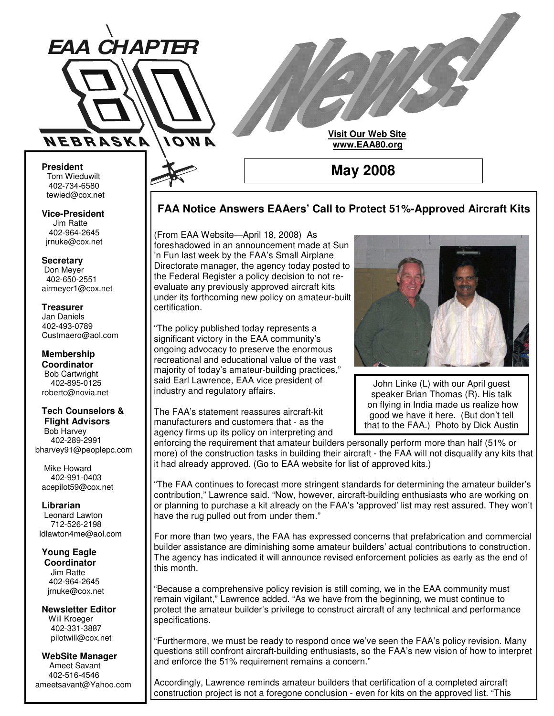

**Visit Our Web Site www.EAA80.org**

**May 2008**

**FAA Notice Answers EAAers' Call to Protect 51%-Approved Aircraft Kits**

**President** Tom Wieduwilt 402-734-6580 tewied@cox.net

**Vice-President** Jim Ratte 402-964-2645 jrnuke@cox.net

**Secretary** Don Meyer 402-650-2551 airmeyer1@cox.net

#### **Treasurer** Jan Daniels 402-493-0789 Custmaero@aol.com

**Membership Coordinator** Bob Cartwright 402-895-0125 robertc@novia.net

#### **Tech Counselors & Flight Advisors**

Bob Harvey 402-289-2991 bharvey91@peoplepc.com

Mike Howard 402-991-0403 acepilot59@cox.net

**Librarian** Leonard Lawton 712-526-2198 ldlawton4me@aol.com

**Young Eagle Coordinator** Jim Ratte 402-964-2645 jrnuke@cox.net

**Newsletter Editor** Will Kroeger 402-331-3887 pilotwill@cox.net

#### **WebSite Manager** Ameet Savant 402-516-4546 ameetsavant@Yahoo.com

(From EAA Website—April 18, 2008) As foreshadowed in an announcement made at Sun 'n Fun last week by the FAA's Small Airplane Directorate manager, the agency today posted to the Federal Register a policy decision to not reevaluate any previously approved aircraft kits under its forthcoming new policy on amateur-built certification.

"The policy published today represents a significant victory in the EAA community's ongoing advocacy to preserve the enormous recreational and educational value of the vast majority of today's amateur-building practices," said Earl Lawrence, EAA vice president of industry and regulatory affairs.

The FAA's statement reassures aircraft-kit manufacturers and customers that - as the agency firms up its policy on interpreting and



John Linke (L) with our April guest speaker Brian Thomas (R). His talk on flying in India made us realize how good we have it here. (But don't tell that to the FAA.) Photo by Dick Austin

enforcing the requirement that amateur builders personally perform more than half (51% or more) of the construction tasks in building their aircraft - the FAA will not disqualify any kits that it had already approved. (Go to EAA website for list of approved kits.)

"The FAA continues to forecast more stringent standards for determining the amateur builder's contribution," Lawrence said. "Now, however, aircraft-building enthusiasts who are working on or planning to purchase a kit already on the FAA's 'approved' list may rest assured. They won't have the rug pulled out from under them."

For more than two years, the FAA has expressed concerns that prefabrication and commercial builder assistance are diminishing some amateur builders' actual contributions to construction. The agency has indicated it will announce revised enforcement policies as early as the end of this month.

"Because a comprehensive policy revision is still coming, we in the EAA community must remain vigilant," Lawrence added. "As we have from the beginning, we must continue to protect the amateur builder's privilege to construct aircraft of any technical and performance specifications.

"Furthermore, we must be ready to respond once we've seen the FAA's policy revision. Many questions still confront aircraft-building enthusiasts, so the FAA's new vision of how to interpret and enforce the 51% requirement remains a concern."

Accordingly, Lawrence reminds amateur builders that certification of a completed aircraft construction project is not a foregone conclusion - even for kits on the approved list. "This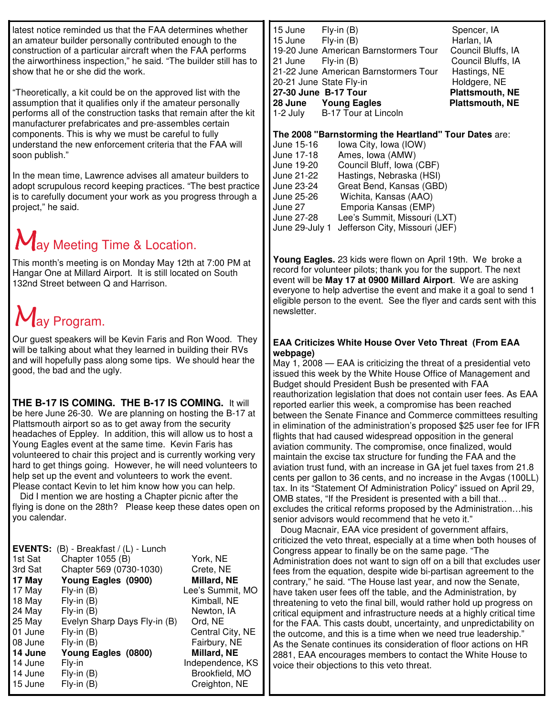latest notice reminded us that the FAA determines whether an amateur builder personally contributed enough to the construction of a particular aircraft when the FAA performs the airworthiness inspection," he said. "The builder still has to show that he or she did the work.

"Theoretically, a kit could be on the approved list with the assumption that it qualifies only if the amateur personally performs all of the construction tasks that remain after the kit manufacturer prefabricates and pre-assembles certain components. This is why we must be careful to fully understand the new enforcement criteria that the FAA will soon publish."

In the mean time, Lawrence advises all amateur builders to adopt scrupulous record keeping practices. "The best practice is to carefully document your work as you progress through a project," he said.

## **Ay Meeting Time & Location.**

This month's meeting is on Monday May 12th at 7:00 PM at Hangar One at Millard Airport. It is still located on South 132nd Street between Q and Harrison.

# ay Program.

Our guest speakers will be Kevin Faris and Ron Wood. They will be talking about what they learned in building their RVs and will hopefully pass along some tips. We should hear the good, the bad and the ugly.

## **THE B-17 IS COMING. THE B-17 IS COMING.** It will

be here June 26-30. We are planning on hosting the B-17 at Plattsmouth airport so as to get away from the security headaches of Eppley. In addition, this will allow us to host a Young Eagles event at the same time. Kevin Faris has volunteered to chair this project and is currently working very hard to get things going. However, he will need volunteers to help set up the event and volunteers to work the event. Please contact Kevin to let him know how you can help.

Did I mention we are hosting a Chapter picnic after the flying is done on the 28th? Please keep these dates open on you calendar.

| <b>EVENTS:</b> | (B) - Breakfast / (L) - Lunch |                  |
|----------------|-------------------------------|------------------|
| 1st Sat        | Chapter 1055 (B)              | York, NE         |
| 3rd Sat        | Chapter 569 (0730-1030)       | Crete, NE        |
| 17 May         | Young Eagles (0900)           | Millard, NE      |
| 17 May         | $Fly-in(B)$                   | Lee's Summit, MO |
| 18 May         | $Fly-in(B)$                   | Kimball, NE      |
| 24 May         | $Fly-in(B)$                   | Newton, IA       |
| 25 May         | Evelyn Sharp Days Fly-in (B)  | Ord, NE          |
| 01 June        | $Fly-in(B)$                   | Central City, NE |
| 08 June        | $Fly-in(B)$                   | Fairbury, NE     |
| 14 June        | Young Eagles (0800)           | Millard, NE      |
| 14 June        | Fly-in                        | Independence, KS |
| 14 June        | $Fly-in(B)$                   | Brookfield, MO   |
| 15 June        | $Fly-in(B)$                   | Creighton, NE    |

| 15 June<br>$Fly-in(B)$<br>$Fly-in(B)$<br>15 June<br>19-20 June American Barnstormers Tour<br>21 June<br>$Fly-in(B)$<br>21-22 June American Barnstormers Tour<br>20-21 June State Fly-in<br>27-30 June B-17 Tour<br>28 June Young Eagles<br>1-2 July B-17 Tour at Lincoln | Spencer, IA<br>Harlan, IA<br>Council Bluffs, IA<br>Council Bluffs, IA<br>Hastings, NE<br>Holdgere, NE<br>Plattsmouth, NE<br><b>Plattsmouth, NE</b> |
|--------------------------------------------------------------------------------------------------------------------------------------------------------------------------------------------------------------------------------------------------------------------------|----------------------------------------------------------------------------------------------------------------------------------------------------|
|--------------------------------------------------------------------------------------------------------------------------------------------------------------------------------------------------------------------------------------------------------------------------|----------------------------------------------------------------------------------------------------------------------------------------------------|

#### **The 2008 "Barnstorming the Heartland" Tour Dates** are:

| June 15-16     | lowa City, Iowa (IOW)          |
|----------------|--------------------------------|
| June 17-18     | Ames, Iowa (AMW)               |
| June 19-20     | Council Bluff, Iowa (CBF)      |
| June 21-22     | Hastings, Nebraska (HSI)       |
| June 23-24     | Great Bend, Kansas (GBD)       |
| June 25-26     | Wichita, Kansas (AAO)          |
| June 27        | Emporia Kansas (EMP)           |
| June 27-28     | Lee's Summit, Missouri (LXT)   |
| June 29-July 1 | Jefferson City, Missouri (JEF) |
|                |                                |

**Young Eagles.** 23 kids were flown on April 19th. We broke a record for volunteer pilots; thank you for the support. The next event will be **May 17 at 0900 Millard Airport**. We are asking everyone to help advertise the event and make it a goal to send 1 eligible person to the event. See the flyer and cards sent with this newsletter.

#### **EAA Criticizes White House Over Veto Threat (From EAA webpage)**

May 1, 2008 — EAA is criticizing the threat of a presidential veto issued this week by the White House Office of Management and Budget should President Bush be presented with FAA reauthorization legislation that does not contain user fees. As EAA reported earlier this week, a compromise has been reached between the Senate Finance and Commerce committees resulting in elimination of the administration's proposed \$25 user fee for IFR flights that had caused widespread opposition in the general aviation community. The compromise, once finalized, would maintain the excise tax structure for funding the FAA and the aviation trust fund, with an increase in GA jet fuel taxes from 21.8 cents per gallon to 36 cents, and no increase in the Avgas (100LL) tax. In its "Statement Of Administration Policy" issued on April 29, OMB states, "If the President is presented with a bill that… excludes the critical reforms proposed by the Administration…his senior advisors would recommend that he veto it."

Doug Macnair, EAA vice president of government affairs, criticized the veto threat, especially at a time when both houses of Congress appear to finally be on the same page. "The Administration does not want to sign off on a bill that excludes user fees from the equation, despite wide bi-partisan agreement to the contrary," he said. "The House last year, and now the Senate, have taken user fees off the table, and the Administration, by threatening to veto the final bill, would rather hold up progress on critical equipment and infrastructure needs at a highly critical time for the FAA. This casts doubt, uncertainty, and unpredictability on the outcome, and this is a time when we need true leadership." As the Senate continues its consideration of floor actions on HR 2881, EAA encourages members to contact the White House to voice their objections to this veto threat.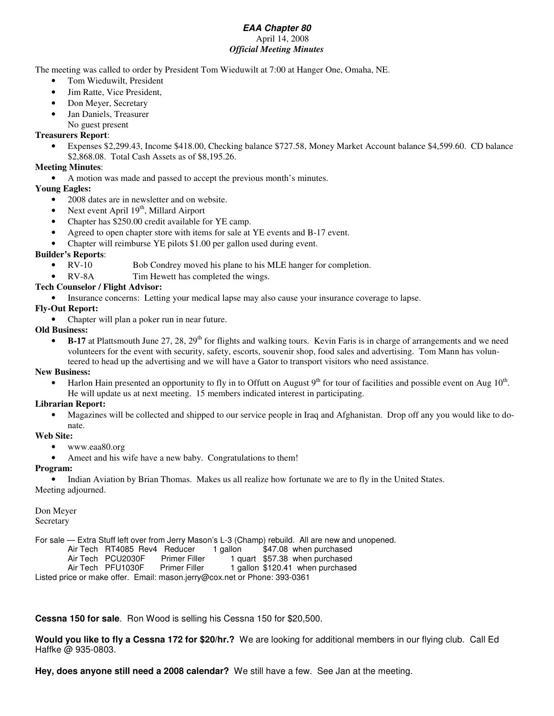#### *EAA Chapter 80* April 14, 2008 *Official Meeting Minutes*

The meeting was called to order by President Tom Wieduwilt at 7:00 at Hanger One, Omaha, NE.

- Tom Wieduwilt, President
- Jim Ratte, Vice President,
- Don Meyer, Secretary
- Jan Daniels, Treasurer
	- No guest present

#### **Treasurers Report**:

• Expenses \$2,299.43, Income \$418.00, Checking balance \$727.58, Money Market Account balance \$4,599.60. CD balance \$2,868.08. Total Cash Assets as of \$8,195.26.

#### **Meeting Minutes**:

• A motion was made and passed to accept the previous month's minutes.

#### **Young Eagles:**

- 2008 dates are in newsletter and on website.
- Next event April  $19<sup>th</sup>$ , Millard Airport
- Chapter has \$250.00 credit available for YE camp.
- Agreed to open chapter store with items for sale at YE events and B-17 event.
- Chapter will reimburse YE pilots \$1.00 per gallon used during event.

#### **Builder's Reports**:

- RV-10 Bob Condrey moved his plane to his MLE hanger for completion.
- RV-8A Tim Hewett has completed the wings.

#### **Tech Counselor / Flight Advisor:**

• Insurance concerns: Letting your medical lapse may also cause your insurance coverage to lapse.

#### **Fly-Out Report:**

• Chapter will plan a poker run in near future.

#### **Old Business:**

• B-17 at Plattsmouth June 27, 28, 29<sup>th</sup> for flights and walking tours. Kevin Faris is in charge of arrangements and we need volunteers for the event with security, safety, escorts, souvenir shop, food sales and advertising. Tom Mann has volunteered to head up the advertising and we will have a Gator to transport visitors who need assistance.

#### **New Business:**

• Harlon Hain presented an opportunity to fly in to Offutt on August  $9<sup>th</sup>$  for tour of facilities and possible event on Aug  $10<sup>th</sup>$ . He will update us at next meeting. 15 members indicated interest in participating.

#### **Librarian Report:**

• Magazines will be collected and shipped to our service people in Iraq and Afghanistan. Drop off any you would like to donate.

#### **Web Site:**

- www.eaa80.org
- Ameet and his wife have a new baby. Congratulations to them!

#### **Program:**

• Indian Aviation by Brian Thomas. Makes us all realize how fortunate we are to fly in the United States. Meeting adjourned.

## Don Meyer

Secretary

For sale — Extra Stuff left over from Jerry Mason's L-3 (Champ) rebuild. All are new and unopened.

Air Tech RT4085 Rev4 Reducer 1 gallon \$47.08 when purchased<br>Air Tech PCU2030F Primer Filler 1 quart \$57.38 when purchased

1 quart \$57.38 when purchased

Air Tech PFU1030F Primer Filler 1 gallon \$120.41 when purchased

Listed price or make offer. Email: mason.jerry@cox.net or Phone: 393-0361

## **Cessna 150 for sale**. Ron Wood is selling his Cessna 150 for \$20,500.

**Would you like to fly a Cessna 172 for \$20/hr.?** We are looking for additional members in our flying club. Call Ed Haffke @ 935-0803.

**Hey, does anyone still need a 2008 calendar?** We still have a few. See Jan at the meeting.